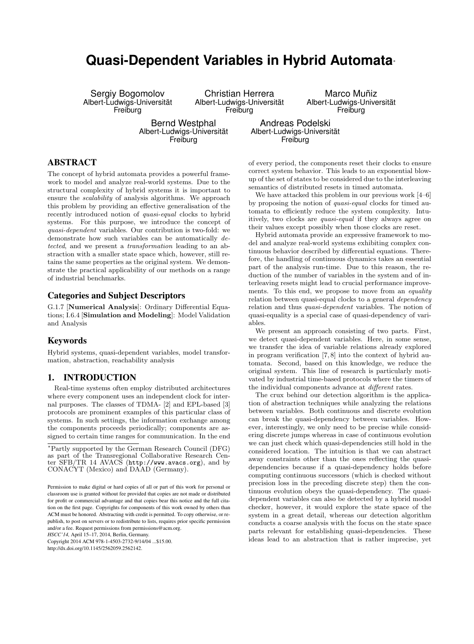# **Quasi-Dependent Variables in Hybrid Automata**<sup>∗</sup>

Sergiy Bogomolov Albert-Ludwigs-Universität Freiburg

Christian Herrera Albert-Ludwigs-Universität Freiburg

Marco Muñiz Albert-Ludwigs-Universität Freiburg

Bernd Westphal Albert-Ludwigs-Universität Freiburg

Andreas Podelski Albert-Ludwigs-Universität Freiburg

# ABSTRACT

The concept of hybrid automata provides a powerful framework to model and analyze real-world systems. Due to the structural complexity of hybrid systems it is important to ensure the scalability of analysis algorithms. We approach this problem by providing an effective generalisation of the recently introduced notion of quasi-equal clocks to hybrid systems. For this purpose, we introduce the concept of quasi-dependent variables. Our contribution is two-fold: we demonstrate how such variables can be automatically detected, and we present a transformation leading to an abstraction with a smaller state space which, however, still retains the same properties as the original system. We demonstrate the practical applicability of our methods on a range of industrial benchmarks.

## Categories and Subject Descriptors

G.1.7 [Numerical Analysis]: Ordinary Differential Equations; I.6.4 [Simulation and Modeling]: Model Validation and Analysis

# Keywords

Hybrid systems, quasi-dependent variables, model transformation, abstraction, reachability analysis

## 1. INTRODUCTION

Real-time systems often employ distributed architectures where every component uses an independent clock for internal purposes. The classes of TDMA- [2] and EPL-based [3] protocols are prominent examples of this particular class of systems. In such settings, the information exchange among the components proceeds periodically; components are assigned to certain time ranges for communication. In the end

*HSCC'14,* April 15–17, 2014, Berlin, Germany.

Copyright 2014 ACM 978-1-4503-2732-9/14/04 ...\$15.00. http://dx.doi.org/10.1145/2562059.2562142.

of every period, the components reset their clocks to ensure correct system behavior. This leads to an exponential blowup of the set of states to be considered due to the interleaving semantics of distributed resets in timed automata.

We have attacked this problem in our previous work [4–6] by proposing the notion of quasi-equal clocks for timed automata to efficiently reduce the system complexity. Intuitively, two clocks are quasi-equal if they always agree on their values except possibly when those clocks are reset.

Hybrid automata provide an expressive framework to model and analyze real-world systems exhibiting complex continuous behavior described by differential equations. Therefore, the handling of continuous dynamics takes an essential part of the analysis run-time. Due to this reason, the reduction of the number of variables in the system and of interleaving resets might lead to crucial performance improvements. To this end, we propose to move from an *equality* relation between quasi-equal clocks to a general dependency relation and thus quasi-dependent variables. The notion of quasi-equality is a special case of quasi-dependency of variables.

We present an approach consisting of two parts. First, we detect quasi-dependent variables. Here, in some sense, we transfer the idea of variable relations already explored in program verification [7, 8] into the context of hybrid automata. Second, based on this knowledge, we reduce the original system. This line of research is particularly motivated by industrial time-based protocols where the timers of the individual components advance at different rates.

The crux behind our detection algorithm is the application of abstraction techniques while analyzing the relations between variables. Both continuous and discrete evolution can break the quasi-dependency between variables. However, interestingly, we only need to be precise while considering discrete jumps whereas in case of continuous evolution we can just check which quasi-dependencies still hold in the considered location. The intuition is that we can abstract away constraints other than the ones reflecting the quasidependencies because if a quasi-dependency holds before computing continuous successors (which is checked without precision loss in the preceding discrete step) then the continuous evolution obeys the quasi-dependency. The quasidependent variables can also be detected by a hybrid model checker, however, it would explore the state space of the system in a great detail, whereas our detection algorithm conducts a coarse analysis with the focus on the state space parts relevant for establishing quasi-dependencies. These ideas lead to an abstraction that is rather imprecise, yet

<sup>∗</sup>Partly supported by the German Research Council (DFG) as part of the Transregional Collaborative Research Center SFB/TR 14 AVACS (http://www.avacs.org), and by CONACYT (Mexico) and DAAD (Germany).

Permission to make digital or hard copies of all or part of this work for personal or classroom use is granted without fee provided that copies are not made or distributed for profit or commercial advantage and that copies bear this notice and the full citation on the first page. Copyrights for components of this work owned by others than ACM must be honored. Abstracting with credit is permitted. To copy otherwise, or republish, to post on servers or to redistribute to lists, requires prior specific permission and/or a fee. Request permissions from permissions@acm.org.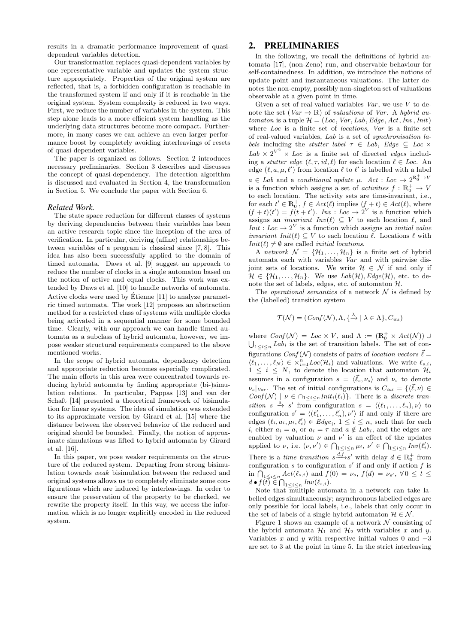results in a dramatic performance improvement of quasidependent variables detection.

Our transformation replaces quasi-dependent variables by one representative variable and updates the system structure appropriately. Properties of the original system are reflected, that is, a forbidden configuration is reachable in the transformed system if and only if it is reachable in the original system. System complexity is reduced in two ways. First, we reduce the number of variables in the system. This step alone leads to a more efficient system handling as the underlying data structures become more compact. Furthermore, in many cases we can achieve an even larger performance boost by completely avoiding interleavings of resets of quasi-dependent variables.

The paper is organized as follows. Section 2 introduces necessary preliminaries. Section 3 describes and discusses the concept of quasi-dependency. The detection algorithm is discussed and evaluated in Section 4, the transformation in Section 5. We conclude the paper with Section 6.

#### *Related Work.*

The state space reduction for different classes of systems by deriving dependencies between their variables has been an active research topic since the inception of the area of verification. In particular, deriving (affine) relationships between variables of a program is classical since [7, 8]. This idea has also been successfully applied to the domain of timed automata. Daws et al. [9] suggest an approach to reduce the number of clocks in a single automaton based on the notion of active and equal clocks. This work was extended by Daws et al. [10] to handle networks of automata. Active clocks were used by Etienne [11] to analyze paramet- ´ ric timed automata. The work [12] proposes an abstraction method for a restricted class of systems with multiple clocks being activated in a sequential manner for some bounded time. Clearly, with our approach we can handle timed automata as a subclass of hybrid automata, however, we impose weaker structural requirements compared to the above mentioned works.

In the scope of hybrid automata, dependency detection and appropriate reduction becomes especially complicated. The main efforts in this area were concentrated towards reducing hybrid automata by finding appropriate (bi-)simulation relations. In particular, Pappas [13] and van der Schaft [14] presented a theoretical framework of bisimulation for linear systems. The idea of simulation was extended to its approximate version by Girard et al. [15] where the distance between the observed behavior of the reduced and original should be bounded. Finally, the notion of approximate simulations was lifted to hybrid automata by Girard et al. [16].

In this paper, we pose weaker requirements on the structure of the reduced system. Departing from strong bisimulation towards weak bisimulation between the reduced and original systems allows us to completely eliminate some configurations which are induced by interleavings. In order to ensure the preservation of the property to be checked, we rewrite the property itself. In this way, we access the information which is no longer explicitly encoded in the reduced system.

#### 2. PRELIMINARIES

In the following, we recall the definitions of hybrid automata [17], (non-Zeno) run, and observable behaviour for self-containedness. In addition, we introduce the notions of update point and instantaneous valuations. The latter denotes the non-empty, possibly non-singleton set of valuations observable at a given point in time.

Given a set of real-valued variables  $Var$ , we use  $V$  to denote the set ( $Var \rightarrow \mathbb{R}$ ) of valuations of Var. A hybrid automaton is a tuple  $\mathcal{H} = (Loc, Var, Lab, Edge, Act, Inv,Init)$ where Loc is a finite set of locations, Var is a finite set of real-valued variables, Lab is a set of synchronisation labels including the *stutter label*  $\tau \in Lab$ , Edge  $\subseteq Loc \times$  $Lab \times 2^{V^2} \times Loc$  is a finite set of directed *edges* including a *stutter edge*  $(\ell, \tau, id, \ell)$  for each location  $\ell \in Loc$ . An edge  $(\ell, a, \mu, \ell')$  from location  $\ell$  to  $\ell'$  is labelled with a label  $a \in Lab$  and a conditional update  $\mu$ . Act : Loc  $\rightarrow 2^{\mathbb{R}^+_0 \rightarrow V}$ is a function which assigns a set of *activities*  $f : \mathbb{R}^+_0 \to V$ to each location. The activity sets are time-invariant, i.e., for each  $t' \in \mathbb{R}_0^+$ ,  $f \in Act(\ell)$  implies  $(f + t) \in Act(\ell)$ , where  $(f + t)(t') = f(t + t')$ . Inv: Loc  $\rightarrow 2^V$  is a function which assigns an *invariant*  $Inv(\ell) \subseteq V$  to each location  $\ell$ , and *Init* :  $Loc \rightarrow 2^V$  is a function which assigns an *initial value invariant Init*( $\ell$ )  $\subseteq$  V to each location  $\ell$ . Locations  $\ell$  with  $Init(\ell) \neq \emptyset$  are called *initial locations*.

A network  $\mathcal{N} = \{ \mathcal{H}_1, \ldots, \mathcal{H}_n \}$  is a finite set of hybrid automata each with variables Var and with pairwise disjoint sets of locations. We write  $\mathcal{H} \in \mathcal{N}$  if and only if  $\mathcal{H} \in \{\mathcal{H}_1, \ldots, \mathcal{H}_n\}.$  We use  $Lab(\mathcal{H}), Edge(\mathcal{H}),$  etc. to denote the set of labels, edges, etc. of automaton H.

The *operational semantics* of a network  $\mathcal N$  is defined by the (labelled) transition system

$$
\mathcal{T}(\mathcal{N}) = (\text{Conf}(\mathcal{N}), \Lambda, \{\stackrel{\lambda}{\to} \mid \lambda \in \Lambda\}, C_{\text{ini}})
$$

where  $Conf(\mathcal{N}) = Loc \times V$ , and  $\Lambda := (\mathbb{R}_0^+ \times Act(\mathcal{N})) \cup$ <br> $\bigcup_{1 \leq i \leq n} Lab_i$  is the set of transition labels. The set of con- $\bigcup_{1 \leq i \leq n} Lab_i$  is the set of transition labels. The set of configurations  $Conf(N)$  consists of pairs of location vectors  $\vec{l} =$  $\langle \ell_1, \ldots, \ell_N \rangle \in \times_{i=1}^n Loc(\mathcal{H}_i)$  and valuations. We write  $\ell_{s,i}$ ,  $1 \leq i \leq N$ , to denote the location that automaton  $\mathcal{H}_i$ assumes in a configuration  $s = \langle \vec{\ell_s}, \nu_s \rangle$  and  $\nu_s$  to denote  $\nu_s|_{Var}$ . The set of initial configurations is  $C_{ini} = \{ \langle \vec{\ell}, \nu \rangle \in$  $Conf(\mathcal{N}) \mid \nu \in \bigcap_{1 \leq i \leq n}Init_i(\ell_i)\big\}$ . There is a discrete transition  $s \stackrel{a}{\rightarrow} s'$  from configuration  $s = \langle (\ell_1, \ldots, \ell_n), \nu \rangle$  to configuration  $s' = \langle (\ell'_1, \ldots, \ell'_n), \nu' \rangle$  if and only if there are edges  $(\ell_i, a_i, \mu_i, \ell'_i) \in Edge_i, 1 \leq i \leq n$ , such that for each i, either  $a_i = a$ , or  $a_i = \tau$  and  $a \notin Lab_i$ , and the edges are enabled by valuation  $\nu$  and  $\nu'$  is an effect of the updates applied to  $\nu$ , i.e.  $(\nu, \nu') \in \bigcap_{1 \leq i \leq n} \mu_i$ ,  $\nu' \in \bigcap_{1 \leq i \leq n} Inv(\ell'_i)$ . There is a *time transition*  $s \xrightarrow{d,f} s'$  with delay  $d \in \mathbb{R}_0^+$  from configuration s to configuration s' if and only if action f is in  $\bigcap_{1 \leq i \leq n} Act(\ell_{s,i})$  and  $f(0) = \nu_s$ ,  $f(d) = \nu_{s'}$ ,  $\forall 0 \leq t \leq$  $d \bullet f(t) \in \bigcap_{1 \leq i \leq n} Inv(\ell_{s,i}).$ 

Note that multiple automata in a network can take labelled edges simultaneously; asynchronous labelled edges are only possible for local labels, i.e., labels that only occur in the set of labels of a single hybrid automaton  $\mathcal{H} \in \mathcal{N}$ .

Figure 1 shows an example of a network  $N$  consisting of the hybrid automata  $\mathcal{H}_1$  and  $\mathcal{H}_2$  with variables x and y. Variables x and y with respective initial values 0 and  $-3$ are set to 3 at the point in time 5. In the strict interleaving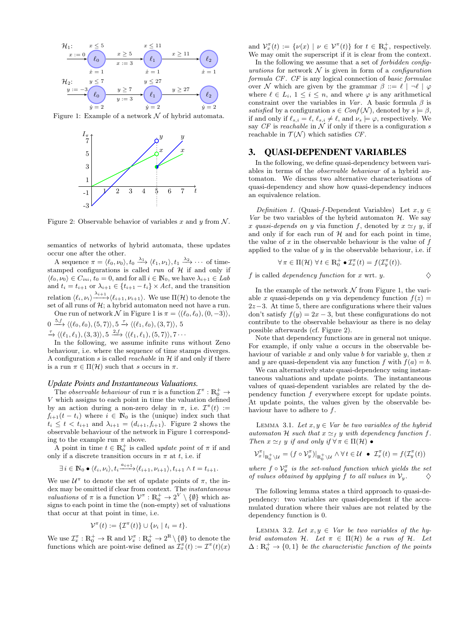

Figure 1: Example of a network  $\mathcal N$  of hybrid automata.



Figure 2: Observable behavior of variables x and y from  $\mathcal N$ .

semantics of networks of hybrid automata, these updates occur one after the other.

A sequence  $\pi = \langle \ell_0, \nu_0 \rangle, t_0 \stackrel{\lambda_1}{\longrightarrow} \langle \ell_1, \nu_1 \rangle, t_1 \stackrel{\lambda_2}{\longrightarrow} \cdots$  of timestamped configurations is called run of  $H$  if and only if  $\langle \ell_0, \nu_0 \rangle \in C_{ini}, t_0 = 0$ , and for all  $i \in \mathbb{N}_0$ , we have  $\lambda_{i+1} \in \mathring{L}ab$ and  $t_i = t_{i+1}$  or  $\lambda_{i+1} \in \{t_{i+1} - t_i\} \times Act$ , and the transition relation  $\langle \ell_i, \nu_i \rangle \frac{\lambda_{i+1}}{\lambda_{i+1}} \langle \ell_{i+1}, \nu_{i+1} \rangle$ . We use  $\Pi(\mathcal{H})$  to denote the set of all runs of  $H$ ; a hybrid automaton need not have a run.

One run of network N in Figure 1 is  $\pi = \langle (\ell_0, \ell_0), (0, -3) \rangle$ ,  $0 \xrightarrow{5,f} \langle (\ell_0, \ell_0), (5, 7) \rangle, 5 \xrightarrow{\tau} \langle (\ell_1, \ell_0), (3, 7) \rangle, 5$ 

 $\stackrel{\tau}{\rightarrow} \langle (\ell_1, \ell_1), (3, 3) \rangle$ , 5  $\stackrel{2, f}{\longrightarrow} \langle (\ell_1, \ell_1), (5, 7) \rangle$ , 7 · · ·

In the following, we assume infinite runs without Zeno behaviour, i.e. where the sequence of time stamps diverges. A configuration  $s$  is called *reachable* in  $H$  if and only if there is a run  $\pi \in \Pi(\mathcal{H})$  such that s occurs in  $\pi$ .

#### *Update Points and Instantaneous Valuations.*

The *observable behaviour* of run  $\pi$  is a function  $\mathcal{I}^{\pi} : \mathbb{R}^+_0 \to$ V which assigns to each point in time the valuation defined by an action during a non-zero delay in  $\pi$ , i.e.  $\mathcal{I}^{\pi}(t) :=$  $f_{i+1}(t-t_i)$  where  $i \in \mathbb{N}_0$  is the (unique) index such that  $t_i \leq t < t_{i+1}$  and  $\lambda_{i+1} = (d_{i+1}, f_{i+1})$ . Figure 2 shows the observable behaviour of the network in Figure 1 corresponding to the example run  $\pi$  above.

A point in time  $t \in \mathbb{R}_0^+$  is called *update point* of  $\pi$  if and only if a discrete transition occurs in  $\pi$  at  $t$ , i.e. if

$$
\exists i \in \mathbb{N}_0 \bullet \langle \ell_i, \nu_i \rangle, t_i \xrightarrow{a_{i+1}} \langle \ell_{i+1}, \nu_{i+1} \rangle, t_{i+1} \wedge t = t_{i+1}.
$$

We use  $\mathcal{U}^{\pi}$  to denote the set of update points of  $\pi$ , the index may be omitted if clear from context. The instantaneous valuations of  $\pi$  is a function  $\mathcal{V}^{\pi}: \mathbb{R}^+_0 \to 2^V \setminus \{\emptyset\}$  which assigns to each point in time the (non-empty) set of valuations that occur at that point in time, i.e.

$$
\mathcal{V}^{\pi}(t) := \{\mathcal{I}^{\pi}(t)\} \cup \{\nu_i \mid t_i = t\}.
$$

We use  $\mathcal{I}_x^{\pi}: \mathbb{R}_0^+ \to \mathbb{R}$  and  $\mathcal{V}_x^{\pi}: \mathbb{R}_0^+ \to 2^{\mathbb{R}} \setminus {\emptyset}$  to denote the functions which are point-wise defined as  $\mathcal{I}_x^{\pi}(t) := \mathcal{I}^{\pi}(t)(x)$ 

and  $\mathcal{V}_x^{\pi}(t) := {\{\nu(x) \mid \nu \in \mathcal{V}^{\pi}(t)\}\}$  for  $t \in \mathbb{R}_0^+$ , respectively. We may omit the superscript if it is clear from the context.

In the following we assume that a set of forbidden configurations for network  $\mathcal N$  is given in form of a *configuration* formula CF. CF is any logical connection of basic formulae over N which are given by the grammar  $\beta ::= \ell \mid \neg \ell \mid \varphi$ where  $\ell \in L_i$ ,  $1 \leq i \leq n$ , and where  $\varphi$  is any arithmetical constraint over the variables in Var. A basic formula  $\beta$  is satisfied by a configuration  $s \in Conf(\mathcal{N})$ , denoted by  $s \models \beta$ , if and only if  $\ell_{s,i} = \ell, \ell_{s,i} \neq \ell$ , and  $\nu_s \models \varphi$ , respectively. We say  $CF$  is reachable in  $N$  if only if there is a configuration s reachable in  $\mathcal{T}(\mathcal{N})$  which satisfies CF.

## 3. QUASI-DEPENDENT VARIABLES

In the following, we define quasi-dependency between variables in terms of the observable behaviour of a hybrid automaton. We discuss two alternative characterisations of quasi-dependency and show how quasi-dependency induces an equivalence relation.

Definition 1. (Quasi-f-Dependent Variables) Let  $x, y \in$ Var be two variables of the hybrid automaton  $H$ . We say x quasi-depends on y via function f, denoted by  $x \simeq_f y$ , if and only if for each run of  $H$  and for each point in time, the value of  $x$  in the observable behaviour is the value of  $f$ applied to the value of  $y$  in the observable behaviour, i.e. if

$$
\forall \pi \in \Pi(\mathcal{H}) \ \forall \, t \in \mathbb{R}_0^+ \bullet \mathcal{I}_x^{\pi}(t) = f(\mathcal{I}_y^{\pi}(t)).
$$

f is called *dependency function* for x wrt. y.  $\diamondsuit$ 

In the example of the network  $N$  from Figure 1, the variable x quasi-depends on y via dependency function  $f(z) =$  $2z-3$ . At time 5, there are configurations where their values don't satisfy  $f(y) = 2x - 3$ , but these configurations do not contribute to the observable behaviour as there is no delay possible afterwards (cf. Figure 2).

Note that dependency functions are in general not unique. For example, if only value a occurs in the observable behaviour of variable x and only value b for variable y, then  $x$ and y are quasi-dependent via any function f with  $f(a) = b$ .

We can alternatively state quasi-dependency using instantaneous valuations and update points. The instantaneous values of quasi-dependent variables are related by the dependency function f everywhere except for update points. At update points, the values given by the observable behaviour have to adhere to f.

LEMMA 3.1. Let  $x, y \in Var$  be two variables of the hybrid automaton H such that  $x \simeq_f y$  with dependency function f. Then  $x \simeq_f y$  if and only if  $\forall \pi \in \Pi(\mathcal{H})$  •

$$
\mathcal{V}_x^{\pi}\big|_{\mathbb{R}_0^+\setminus\mathcal{U}} = (f \circ \mathcal{V}_y^{\pi})\big|_{\mathbb{R}_0^+\setminus\mathcal{U}} \wedge \forall t \in \mathcal{U} \bullet \mathcal{I}_x^{\pi}(t) = f(\mathcal{I}_y^{\pi}(t))
$$

where  $f \circ \mathcal{V}_y^{\pi}$  is the set-valued function which yields the set of values obtained by applying f to all values in  $V_y$ .

The following lemma states a third approach to quasi-dependency: two variables are quasi-dependent if the accumulated duration where their values are not related by the dependency function is 0.

LEMMA 3.2. Let  $x, y \in Var$  be two variables of the hybrid automaton H. Let  $\pi \in \Pi(\mathcal{H})$  be a run of H. Let  $\Delta: \mathbb{R}^+_0 \to \{0,1\}$  be the characteristic function of the points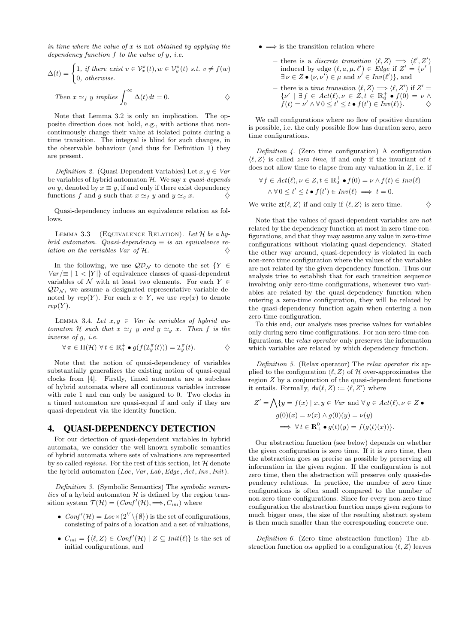in time where the value of  $x$  is not obtained by applying the dependency function  $f$  to the value of  $y$ , *i.e.* 

$$
\Delta(t) = \begin{cases} 1, & \text{if there exist } v \in \mathcal{V}_x^{\pi}(t), w \in \mathcal{V}_y^{\pi}(t) \text{ s.t. } v \neq f(w) \\ 0, & \text{otherwise.} \end{cases}
$$
  
Then  $x \simeq_f y$  implies  $\int_0^{\infty} \Delta(t) dt = 0.$   $\diamond$ 

Note that Lemma 3.2 is only an implication. The opposite direction does not hold, e.g., with actions that noncontinuously change their value at isolated points during a time transition. The integral is blind for such changes, in the observable behaviour (and thus for Definition 1) they are present.

Definition 2. (Quasi-Dependent Variables) Let  $x, y \in Var$ be variables of hybrid automaton  $H$ . We say x quasi-depends on y, denoted by  $x \equiv y$ , if and only if there exist dependency functions f and g such that  $x \simeq_f y$  and  $y \simeq_g x$ .

Quasi-dependency induces an equivalence relation as follows.

LEMMA 3.3 (EQUIVALENCE RELATION). Let  $\mathcal H$  be a hybrid automaton. Quasi-dependency  $\equiv$  is an equivalence relation on the variables Var of H.  $\Diamond$ 

In the following, we use  $\mathcal{QD}_\mathcal{N}$  to denote the set  $\{Y \in$  $Var/\equiv |1 \lt |Y|$  of equivalence classes of quasi-dependent variables of N with at least two elements. For each  $Y \in$  $\mathcal{QD}_{N}$ , we assume a designated representative variable denoted by rep(Y). For each  $x \in Y$ , we use rep(x) to denote  $rep(Y)$ .

LEMMA 3.4. Let  $x, y \in Var$  be variables of hybrid automaton H such that  $x \simeq_f y$  and  $y \simeq_g x$ . Then f is the inverse of g, i.e.

$$
\forall \pi \in \Pi(\mathcal{H}) \ \forall \, t \in \mathbb{R}_0^+ \bullet g(f(\mathcal{I}_y^{\pi}(t))) = \mathcal{I}_y^{\pi}(t). \qquad \diamondsuit
$$

Note that the notion of quasi-dependency of variables substantially generalizes the existing notion of quasi-equal clocks from [4]. Firstly, timed automata are a subclass of hybrid automata where all continuous variables increase with rate 1 and can only be assigned to 0. Two clocks in a timed automaton are quasi-equal if and only if they are quasi-dependent via the identity function.

#### 4. QUASI-DEPENDENCY DETECTION

For our detection of quasi-dependent variables in hybrid automata, we consider the well-known symbolic semantics of hybrid automata where sets of valuations are represented by so called *regions*. For the rest of this section, let  $H$  denote the hybrid automaton  $(Loc, Var, Lab, Edge, Act, Inv,Init).$ 

Definition 3. (Symbolic Semantics) The symbolic semantics of a hybrid automaton  $\mathcal H$  is defined by the region transition system  $\mathcal{T}(\mathcal{H}) = (Conf'(\mathcal{H}), \Longrightarrow, C_{ini})$  where

- $Conf'(\mathcal{H}) = Loc \times (2^V \setminus {\emptyset})$  is the set of configurations, consisting of pairs of a location and a set of valuations,
- $C_{ini} = \{ \langle \ell, Z \rangle \in Conf'(\mathcal{H}) \mid Z \subseteq Init(\ell) \}$  is the set of initial configurations, and
- $\Rightarrow$  is the transition relation where
	- there is a *discrete transition*  $\langle \ell, Z \rangle$  ⇒  $\langle \ell', Z' \rangle$ induced by edge  $(\ell, a, \mu, \ell') \in Edge$  if  $Z' = \{\nu' \mid$  $\exists \nu \in Z \bullet (\nu, \nu') \in \mu \text{ and } \nu' \in Inv(\ell')\},\$ and
	- there is a *time transition*  $\langle \ell, Z \rangle \Longrightarrow \langle \ell, Z' \rangle$  if  $Z' =$  $\{\nu' \mid \exists f \in \text{Act}(\ell), \nu \in \mathbb{Z}, t \in \mathbb{R}_0^+ \bullet f(0) = \nu \wedge$  $f(t) = \nu' \wedge \forall 0 \leq t' \leq t \bullet f(t') \in Inv(\ell) \}.$   $\diamond$

We call configurations where no flow of positive duration is possible, i.e. the only possible flow has duration zero, zero time configurations.

Definition  $\angle$ . (Zero time configuration) A configuration  $\langle \ell, Z \rangle$  is called *zero time*, if and only if the invariant of  $\ell$ does not allow time to elapse from any valuation in  $Z$ , i.e. if

$$
\forall f \in Act(\ell), \nu \in Z, t \in \mathbb{R}_0^+ \bullet f(0) = \nu \land f(t) \in Inv(\ell)
$$
  
 
$$
\land \forall 0 \le t' \le t \bullet f(t') \in Inv(\ell) \implies t = 0.
$$

We write  $zt(\ell, Z)$  if and only if  $\langle \ell, Z \rangle$  is zero time.  $\diamondsuit$ 

Note that the values of quasi-dependent variables are not related by the dependency function at most in zero time configurations, and that they may assume any value in zero-time configurations without violating quasi-dependency. Stated the other way around, quasi-dependecy is violated in each non-zero time configuration where the values of the variables are not related by the given dependency function. Thus our analysis tries to establish that for each transition sequence involving only zero-time configurations, whenever two variables are related by the quasi-dependency function when entering a zero-time configuration, they will be related by the quasi-dependency function again when entering a non zero-time configuration.

To this end, our analysis uses precise values for variables only during zero-time configurations. For non zero-time configurations, the relax operator only preserves the information which variables are related by which dependency function.

Definition 5. (Relax operator) The relax operator rlx applied to the configuration  $\langle \ell, Z \rangle$  of H over-approximates the region Z by a conjunction of the quasi-dependent functions it entails. Formally,  $\mathsf{rk}(\ell, Z) := \langle \ell, Z' \rangle$  where

$$
Z' = \bigwedge \{y = f(x) \mid x, y \in Var \text{ and } \forall g \in Act(\ell), \nu \in Z \bullet
$$

$$
g(0)(x) = \nu(x) \land g(0)(y) = \nu(y)
$$

$$
\implies \forall t \in \mathbb{R}_+^0 \bullet g(t)(y) = f(g(t)(x))\}.
$$

 $\overline{a}$ 

Our abstraction function (see below) depends on whether the given configuration is zero time. If it is zero time, then the abstraction goes as precise as possible by preserving all information in the given region. If the configuration is not zero time, then the abstraction will preserve only quasi-dependency relations. In practice, the number of zero time configurations is often small compared to the number of non-zero time configurations. Since for every non-zero time configuration the abstraction function maps given regions to much bigger ones, the size of the resulting abstract system is then much smaller than the corresponding concrete one.

Definition 6. (Zero time abstraction function) The abstraction function  $\alpha_{zt}$  applied to a configuration  $\langle \ell, Z \rangle$  leaves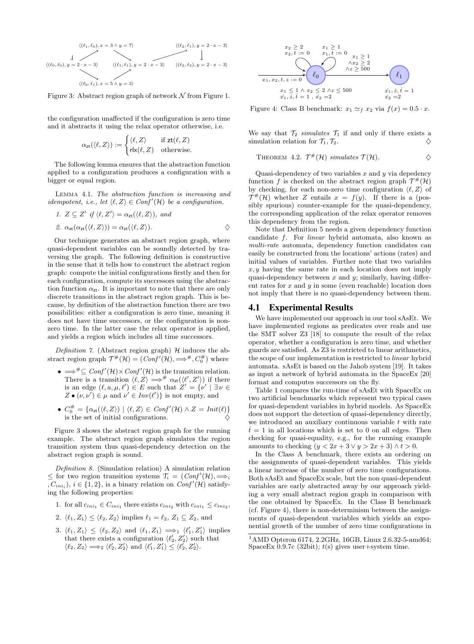

Figure 3: Abstract region graph of network  $N$  from Figure 1.

the configuration unaffected if the configuration is zero time and it abstracts it using the relax operator otherwise, i.e.

$$
\alpha_{\mathsf{zt}}(\langle \ell,Z \rangle) := \begin{cases} \langle \ell,Z \rangle & \text{if } \mathsf{zt}(\ell,Z) \\ \mathsf{rlx}(\ell,Z) & \text{otherwise.} \end{cases}
$$

The following lemma ensures that the abstraction function applied to a configuration produces a configuration with a bigger or equal region.

Lemma 4.1. The abstraction function is increasing and idempotent, i.e., let  $\langle \ell, Z \rangle \in Conf'(\mathcal{H})$  be a configuration.

1. 
$$
Z \subseteq Z'
$$
 if  $\langle \ell, Z' \rangle = \alpha_{zt}(\langle \ell, Z \rangle)$ , and  
\n2.  $\alpha_{zt}(\alpha_{zt}(\langle \ell, Z \rangle)) = \alpha_{zt}(\langle \ell, Z \rangle)$ .

Our technique generates an abstract region graph, where quasi-dependent variables can be soundly detected by traversing the graph. The following definition is constructive in the sense that it tells how to construct the abstract region graph: compute the initial configurations firstly and then for each configuration, compute its successors using the abstraction function  $\alpha_{zt}$ . It is important to note that there are only discrete transitions in the abstract region graph. This is because, by definition of the abstraction function there are two possibilities: either a configuration is zero time, meaning it does not have time successors, or the configuration is nonzero time. In the latter case the relax operator is applied, and yields a region which includes all time successors.

Definition 7. (Abstract region graph)  $H$  induces the abstract region graph  $\mathcal{T}^{\#}(\mathcal{H}) = (Conf'(\mathcal{H}), \Longrightarrow^{\#}, C_0^{\#})$  where

- $\implies^{\#} \subseteq Conf'(\mathcal{H}) \times Conf'(\mathcal{H})$  is the transition relation. There is a transition  $\langle \ell, Z \rangle \Longrightarrow^{\#} \alpha_{zt}(\langle \ell', Z' \rangle)$  if there is an edge  $(\ell, a, \mu, \ell') \in E$  such that  $Z' = \{ \nu' \mid \exists \nu \in \ell'$  $Z \bullet (\nu, \nu') \in \mu$  and  $\nu' \in Inv(\ell')\}$  is not empty, and
- $C_0^{\#} = {\alpha_{zt}(\langle \ell, Z \rangle) | \langle \ell, Z \rangle \in Conf'(\mathcal{H}) \wedge Z = Init(\ell)}$ is the set of initial configurations.  $\Diamond$

Figure 3 shows the abstract region graph for the running example. The abstract region graph simulates the region transition system thus quasi-dependency detection on the abstract region graph is sound.

Definition 8. (Simulation relation) A simulation relation  $\leq$  for two region transition systems  $\mathcal{T}_i = (Conf'(\mathcal{H}), \Longrightarrow_i$ ,  $C_{ini_i}$ ,  $i \in \{1,2\}$ , is a binary relation on  $\text{Conf}'(\mathcal{H})$  satisfying the following properties:

1. for all  $c_{ini_1} \in C_{ini_1}$  there exists  $c_{ini_2}$  with  $c_{ini_1} \leq c_{ini_2}$ ,

2. 
$$
\langle \ell_1, Z_1 \rangle \leq \langle \ell_2, Z_2 \rangle
$$
 implies  $\ell_1 = \ell_2, Z_1 \subseteq Z_2$ , and

3.  $\langle \ell_1, Z_1 \rangle \leq \langle \ell_2, Z_2 \rangle$  and  $\langle \ell_1, Z_1 \rangle \implies_1 \langle \ell_1', Z_1' \rangle$  implies that there exists a configuration  $\langle \ell'_2, Z'_2 \rangle$  such that  $\langle \ell_2, Z_2 \rangle \Longrightarrow_2 \langle \ell'_2, Z'_2 \rangle \text{ and } \langle \ell'_1, Z'_1 \rangle \leq \langle \ell'_2, Z'_2 \rangle.$ 



Figure 4: Class B benchmark:  $x_1 \simeq_f x_2$  via  $f(x) = 0.5 \cdot x$ .

We say that  $\mathcal{T}_2$  simulates  $\mathcal{T}_1$  if and only if there exists a simulation relation for  $\mathcal{T}_1, \mathcal{T}_2$ .

THEOREM 4.2. 
$$
\mathcal{T}^{\#}(\mathcal{H})
$$
 *simulates*  $\mathcal{T}(\mathcal{H})$ .

Quasi-dependency of two variables  $x$  and  $y$  via depedency function f is checked on the abstract region graph  $\mathcal{T}^{\#}(\mathcal{H})$ by checking, for each non-zero time configuration  $\langle \ell, Z \rangle$  of  $\mathcal{T}^{\#}(\mathcal{H})$  whether Z entails  $x = f(y)$ . If there is a (possibly spurious) counter-example for the quasi-dependency, the corresponding application of the relax operator removes this dependency from the region.

Note that Definition 5 needs a given dependency function candidate f. For linear hybrid automata, also known as multi-rate automata, dependency function candidates can easily be constructed from the locations' actions (rates) and initial values of variables. Further note that two variables  $x, y$  having the same rate in each location does not imply quasi-dependency between  $x$  and  $y$ ; similarly, having different rates for  $x$  and  $y$  in some (even reachable) location does not imply that there is no quasi-dependency between them.

## 4.1 Experimental Results

We have implemented our approach in our tool sAsEt. We have implemented regions as predicates over reals and use the SMT solver Z3 [18] to compute the result of the relax operator, whether a configuration is zero time, and whether guards are satisfied. As Z3 is restricted to linear arithmetics, the scope of our implementation is restricted to linear hybrid automata. sAsEt is based on the Jahob system [19]. It takes as input a network of hybrid automata in the SpaceEx [20] format and computes successors on the fly.

Table 1 compares the run-time of sAsEt with SpaceEx on two artificial benchmarks which represent two typical cases for quasi-dependent variables in hybrid models. As SpaceEx does not support the detection of quasi-dependency directly, we introduced an auxiliary continuous variable  $t$  with rate  $t=1$  in all locations which is set to 0 on all edges. Then checking for quasi-equality, e.g., for the running example amounts to checking  $(y < 2x + 3 \vee y > 2x + 3) \wedge t > 0$ .

In the Class A benchmark, there exists an ordering on the assignments of quasi-dependent variables. This yields a linear increase of the number of zero time configurations. Both sAsEt and SpaceEx scale, but the non quasi-dependent variables are early abstracted away by our approach yielding a very small abstract region graph in comparison with the one obtained by SpaceEx. In the Class B benchmark (cf. Figure 4), there is non-determinism between the assignments of quasi-dependent variables which yields an exponential growth of the number of zero time configurations in

<sup>1</sup>AMD Opteron 6174, 2.2GHz, 16GB, Linux 2.6.32-5-amd64; SpaceEx  $0.9.7c$  (32bit);  $t(s)$  gives user+system time.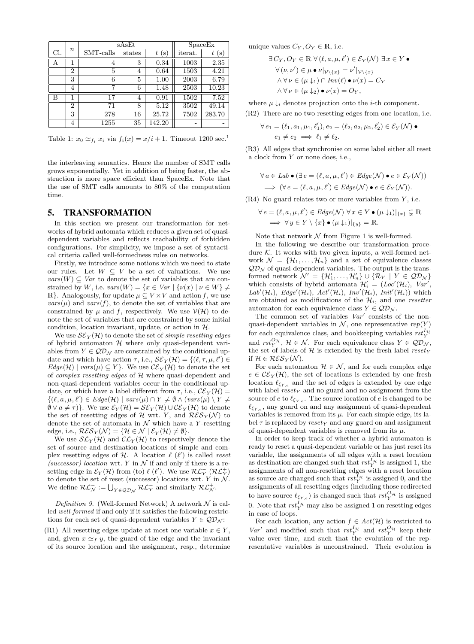|     | $\boldsymbol{n}$ | ${\rm sAsEt}$ |        |        | SpaceEx |          |
|-----|------------------|---------------|--------|--------|---------|----------|
| Cl. |                  | SMT-calls     | states | t(s)   | iterat. | (s)<br>t |
|     | ı                | 4             | 3      | 0.34   | 1003    | 2.35     |
|     | $\overline{2}$   | 5             | 4      | 0.64   | 1503    | 4.21     |
|     | 3                | 6             | 5      | 1.00   | 2003    | 6.79     |
|     | 4                | 7             | 6      | 1.48   | 2503    | 10.23    |
| В   | 1                | 17            | 4      | 0.91   | 1502    | 7.52     |
|     | 2                | 71            | 8      | 5.12   | 3502    | 49.14    |
|     | 3                | 278           | 16     | 25.72  | 7502    | 283.70   |
|     | 4                | 1255          | 35     | 142.20 |         |          |

Table 1:  $x_0 \simeq_{f_i} x_i$  via  $f_i(x) = x/i + 1$ . Timeout 1200 sec.<sup>1</sup>

the interleaving semantics. Hence the number of SMT calls grows exponentially. Yet in addition of being faster, the abstraction is more space efficient than SpaceEx. Note that the use of SMT calls amounts to 80% of the computation time.

#### 5. TRANSFORMATION

In this section we present our transformation for networks of hybrid automata which reduces a given set of quasidependent variables and reflects reachability of forbidden configurations. For simplicity, we impose a set of syntactical criteria called well-formedness rules on networks.

Firstly, we introduce some notions which we need to state our rules. Let  $W \subseteq V$  be a set of valuations. We use  $vars(W) \subseteq Var$  to denote the set of variables that are constrained by W, i.e.  $vars(W) = \{x \in Var \mid {\{\nu(x) \mid \nu \in W\}} \neq$ R}. Analogously, for update  $\mu \subseteq V \times V$  and action f, we use  $vars(\mu)$  and  $vars(f)$ , to denote the set of variables that are constrained by  $\mu$  and f, respectively. We use  $\mathcal{V}(\mathcal{H})$  to denote the set of variables that are constrained by some initial condition, location invariant, update, or action in  $H$ .

We use  $\mathcal{SE}_Y(\mathcal{H})$  to denote the set of simple resetting edges of hybrid automaton  $H$  where only quasi-dependent variables from  $Y \in QD_{\mathcal{N}}$  are constrained by the conditional update and which have action  $\tau$ , i.e.,  $\mathcal{SE}_Y(\mathcal{H}) = \{(\ell, \tau, \mu, \ell') \in$  $Edge(\mathcal{H}) | vars(\mu) \subseteq Y$ . We use  $\mathcal{CE}_Y(\mathcal{H})$  to denote the set of complex resetting edges of H where quasi-dependent and non-quasi-dependent variables occur in the conditional update, or which have a label different from  $\tau$ , i.e.,  $\mathcal{CE}_Y(\mathcal{H}) =$  $\{(\ell, a, \mu, \ell') \in Edge(\mathcal{H}) \mid vars(\mu) \cap Y \neq \emptyset \land (vars(\mu) \setminus Y \neq \emptyset)$  $\emptyset \vee a \neq \tau$ }. We use  $\mathcal{E}_Y(\mathcal{H}) = \mathcal{S}\mathcal{E}_Y(\mathcal{H}) \cup \mathcal{C}\mathcal{E}_Y(\mathcal{H})$  to denote the set of resetting edges of H wrt. Y, and  $\mathcal{RES}_{Y}(\mathcal{N})$  to denote the set of automata in  $N$  which have a Y-resetting edge, i.e.,  $\mathcal{RES}_{Y}(\mathcal{N}) = \{ \mathcal{H} \in \mathcal{N} \mid \mathcal{E}_{Y}(\mathcal{H}) \neq \emptyset \}.$ 

We use  $\mathcal{SL}_Y(\mathcal{H})$  and  $\mathcal{CL}_Y(\mathcal{H})$  to respectively denote the set of source and destination locations of simple and complex resetting edges of  $H$ . A location  $\ell$  ( $\ell'$ ) is called reset (successor) location wrt. Y in N if and only if there is a resetting edge in  $\mathcal{E}_Y(\mathcal{H})$  from (to)  $\ell$  ( $\ell'$ ). We use  $\mathcal{RL}_Y^-$  ( $\mathcal{RL}_Y^+$ ) to denote the set of reset (successor) locations wrt.  $Y$  in  $N$ . We define  $\mathcal{RL}_{\mathcal{N}}^- := \bigcup_{Y \in \mathcal{QD}_{\mathcal{N}}} \mathcal{RL}_{Y}^-$  and similarly  $\mathcal{RL}_{\mathcal{N}}^+$ .

Definition 9. (Well-formed Network) A network  $\mathcal N$  is called well-formed if and only if it satisfies the following restrictions for each set of quasi-dependent variables  $Y \in QD_{\mathcal{N}}$ :

(R1) All resetting edges update at most one variable  $x \in Y$ , and, given  $x \simeq_f y$ , the guard of the edge and the invariant of its source location and the assignment, resp., determine unique values  $C_Y, O_Y \in \mathbb{R}$ , i.e.

$$
\exists C_Y, O_Y \in \mathbb{R} \,\forall (\ell, a, \mu, \ell') \in \mathcal{E}_Y(\mathcal{N}) \,\exists x \in Y \bullet
$$

$$
\forall (\nu, \nu') \in \mu \bullet \nu |_{\mathcal{V} \setminus \{x\}} = \nu' |_{\mathcal{V} \setminus \{x\}}
$$

$$
\land \forall \nu \in (\mu \downarrow_1) \cap \mathit{Inv}(\ell) \bullet \nu(x) = C_Y
$$

$$
\land \forall \nu \in (\mu \downarrow_2) \bullet \nu(x) = O_Y,
$$

where  $\mu \downarrow_i$  denotes projection onto the *i*-th component. (R2) There are no two resetting edges from one location, i.e.

$$
\forall e_1 = (\ell_1, a_1, \mu_1, \ell'_1), e_2 = (\ell_2, a_2, \mu_2, \ell'_2) \in \mathcal{E}_Y(\mathcal{N}) \bullet e_1 \neq e_2 \implies \ell_1 \neq \ell_2.
$$

(R3) All edges that synchronise on some label either all reset a clock from Y or none does, i.e.,

$$
\forall a \in Lab \bullet (\exists e = (\ell, a, \mu, \ell') \in Edge(\mathcal{N}) \bullet e \in \mathcal{E}_Y(\mathcal{N}))
$$
  

$$
\implies (\forall e = (\ell, a, \mu, \ell') \in Edge(\mathcal{N}) \bullet e \in \mathcal{E}_Y(\mathcal{N})).
$$

 $(R4)$  No guard relates two or more variables from Y, i.e.

$$
\forall e = (\ell, a, \mu, \ell') \in Edge(\mathcal{N}) \ \forall x \in Y \bullet (\mu \downarrow_1)|_{\{x\}} \subsetneq \mathbb{R}
$$
  

$$
\implies \forall y \in Y \setminus \{x\} \bullet (\mu \downarrow_1)|_{\{y\}} = \mathbb{R}.
$$

Note that network  $N$  from Figure 1 is well-formed.

In the following we describe our transformation procedure  $K$ . It works with two given inputs, a well-formed network  $\mathcal{N} = {\mathcal{H}_1, \ldots, \mathcal{H}_n}$  and a set of equivalence classes  $QD_N$  of quasi-dependent variables. The output is the transformed network  $\mathcal{N}' = \{ \mathcal{H}'_1, \ldots, \mathcal{H}'_n \} \cup \{ \mathcal{R}_Y \mid Y \in \mathcal{QD}_N \}$ which consists of hybrid automata  $\mathcal{H}'_i = (Loc'(\mathcal{H}_i), Var^i,$ Lab'( $\mathcal{H}_i$ ), Edge'( $\mathcal{H}_i$ ), Act'( $\mathcal{H}_i$ ), Inv'( $\mathcal{H}_i$ ), Init'( $\mathcal{H}_i$ )) which are obtained as modifications of the  $\mathcal{H}_i$ , and one resetter automaton for each equivalence class  $Y \in QD_N$ .

The common set of variables  $Var'$  consists of the nonquasi-dependent variables in  $N$ , one representative  $rep(Y)$ for each equivalence class, and bookkeeping variables  $rst_Y^{I_H}$ and  $rst_Y^{O_{\mathcal{H}}}, \mathcal{H} \in \mathcal{N}$ . For each equivalence class  $Y \in \mathcal{QD}_{\mathcal{N}},$ the set of labels of  $H$  is extended by the fresh label  $reset_Y$ if  $\mathcal{H} \in \mathcal{RES}_{Y}(\mathcal{N}).$ 

For each automaton  $\mathcal{H} \in \mathcal{N}$ , and for each complex edge  $e \in \mathcal{CE}_Y(\mathcal{H})$ , the set of locations is extended by one fresh location  $\ell_{\xi_{Y,e}}$  and the set of edges is extended by one edge with label  $reset<sub>Y</sub>$  and no guard and no assignment from the source of e to  $\ell_{\xi_{Y,e}}$ . The source location of e is changed to be  $\ell_{\xi_{Y,e}}$ , any guard on and any assignment of quasi-dependent variables is removed from its  $\mu$ . For each simple edge, its label  $\tau$  is replaced by resety and any guard on and assignment of quasi-dependent variables is removed from its  $\mu$ .

In order to keep track of whether a hybrid automaton is ready to reset a quasi-dependent variable or has just reset its variable, the assignments of all edges with a reset location as destination are changed such that  $rst_Y^{I_{\mathcal{H}}}$  is assigned 1, the assignments of all non-resetting edges with a reset location as source are changed such that  $rst_Y^{\bar{I}_{\mathcal{H}}}$  is assigned 0, and the assignments of all resetting edges (including those redirected to have source  $\ell_{\xi_{Y,e}}$ ) is changed such that  $rst_Y^{O_{\mathcal{H}}}$  is assigned 0. Note that  $rst_Y^{I_H}$  may also be assigned 1 on resetting edges in case of loops.

For each location, any action  $f \in Act(\mathcal{H})$  is restricted to  $Var'$  and modified such that  $rst_Y^{I_{\mathcal{H}}}$  and  $rst_Y^{O_{\mathcal{H}}}$  keep their value over time, and such that the evolution of the representative variables is unconstrained. Their evolution is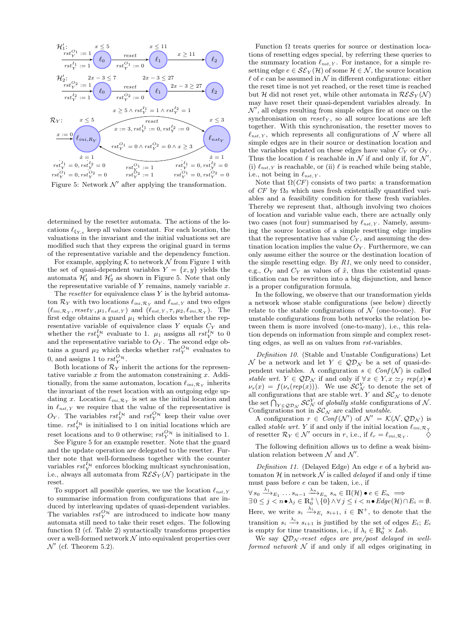

Figure 5: Network  $\mathcal{N}'$  after applying the transformation.

determined by the resetter automata. The actions of the locations  $\ell_{\xi_{Y,e}}$  keep all values constant. For each location, the valuations in the invariant and the initial valuations set are modified such that they express the original guard in terms of the representative variable and the dependency function.

For example, applying  $K$  to network  $\mathcal N$  from Figure 1 with the set of quasi-dependent variables  $Y = \{x, y\}$  yields the automata  $\mathcal{H}'_1$  and  $\mathcal{H}'_2$  as shown in Figure 5. Note that only the representative variable of  $Y$  remains, namely variable  $x$ .

The resetter for equivalence class  $Y$  is the hybrid automaton  $\mathcal{R}_Y$  with two locations  $\ell_{ini,\mathcal{R}_Y}$  and  $\ell_{nst,Y}$  and two edges  $(\ell_{ini,\mathcal{R}_Y}, \text{reset}_Y, \mu_1, \ell_{nst,Y})$  and  $(\ell_{nst,Y}, \tau, \mu_2, \ell_{ini,\mathcal{R}_Y})$ . The first edge obtains a guard  $\mu_1$  which checks whether the representative variable of equivalence class  $Y$  equals  $C_Y$  and whether the  $rst_Y^{I_H}$  evaluate to 1.  $\mu_1$  assigns all  $rst_Y^{I_H}$  to 0 and the representative variable to  $O<sub>Y</sub>$ . The second edge obtains a guard  $\mu_2$  which checks whether  $rst_Y^{O_{\mathcal{H}}}$  evaluates to 0, and assigns 1 to  $rst_Y^{O_{\mathcal{H}}}$ .

Both locations of  $\mathcal{R}_Y$  inherit the actions for the representative variable  $x$  from the automaton constraining  $x$ . Additionally, from the same automaton, location  $\ell_{ini,\mathcal{R}_Y}$  inherits the invariant of the reset location with an outgoing edge updating x. Location  $\ell_{ini,\mathcal{R}_Y}$  is set as the initial location and in  $\ell_{nst,Y}$  we require that the value of the representative is  $O_Y$ . The variables  $rst_Y^{I_{\mathcal{H}}}$  and  $rst_Y^{O_{\mathcal{H}}}$  keep their value over time.  $rst_Y^{I_H}$  is initialised to 1 on initial locations which are reset locations and to 0 otherwise;  $rst_Y^{O_H}$  is initialised to 1.

See Figure 5 for an example resetter. Note that the guard and the update operation are delegated to the resetter. Further note that well-formedness together with the counter variables  $rst_Y^{I_{\mathcal{H}}}$  enforces blocking multicast synchronisation, i.e., always all automata from  $\mathcal{RES}_{Y}(\mathcal{N})$  participate in the reset.

To support all possible queries, we use the location  $\ell_{nst,Y}$ to summarise information from configurations that are induced by interleaving updates of quasi-dependent variables. The variables  $rst_Y^{\mathcal{O}_\mathcal{H}}$  are introduced to indicate how many automata still need to take their reset edges. The following function  $\Omega$  (cf. Table 2) syntactically transforms properties over a well-formed network  $\mathcal N$  into equivalent properties over  $\mathcal{N}'$  (cf. Theorem 5.2).

Function  $\Omega$  treats queries for source or destination locations of resetting edges special, by referring these queries to the summary location  $\ell_{nst,Y}$ . For instance, for a simple resetting edge  $e \in \mathcal{SE}_Y(\mathcal{H})$  of some  $\mathcal{H} \in \mathcal{N}$ , the source location  $\ell$  of e can be assumed in  $\mathcal N$  in different configurations: either the reset time is not yet reached, or the reset time is reached but H did not reset yet, while other automata in  $\mathcal{RES}_{Y}(\mathcal{N})$ may have reset their quasi-dependent variables already. In  $\mathcal{N}'$ , all edges resulting from simple edges fire at once on the synchronisation on  $reset_Y$ , so all source locations are left together. With this synchronisation, the resetter moves to  $\ell_{nst,Y}$ , which represents all configurations of N where all simple edges are in their source or destination location and the variables updated on these edges have value  $C_Y$  or  $O_Y$ . Thus the location  $\ell$  is reachable in  $\mathcal N$  if and only if, for  $\mathcal N'$ , (i)  $\ell_{nst,Y}$  is reachable, or (ii)  $\ell$  is reached while being stable, i.e., not being in  $\ell_{nst, Y}$ .

Note that  $\Omega(CF)$  consists of two parts: a transformation of CF by  $\Omega_0$  which uses fresh existentially quantified variables and a feasibility condition for these fresh variables. Thereby we represent that, although involving two choices of location and variable value each, there are actually only two cases (not four) summarised by  $\ell_{nst,Y}$ . Namely, assuming the source location of a simple resetting edge implies that the representative has value  $C_Y$ , and assuming the destination location implies the value  $O<sub>Y</sub>$ . Furthermore, we can only assume either the source or the destination location of the simple resetting edge. By  $R1$ , we only need to consider, e.g.,  $O_Y$  and  $C_Y$  as values of  $\tilde{x}$ , thus the existential quantification can be rewritten into a big disjunction, and hence is a proper configuration formula.

In the following, we observe that our transformation yields a network whose stable configurations (see below) directly relate to the stable configurations of  $\mathcal N$  (one-to-one). For unstable configurations from both networks the relation between them is more involved (one-to-many), i.e., this relation depends on information from simple and complex resetting edges, as well as on values from rst-variables.

Definition 10. (Stable and Unstable Configurations) Let N be a network and let  $Y \in \mathcal{QD}_{\mathcal{N}}$  be a set of quasi-dependent variables. A configuration  $s \in Conf(\mathcal{N})$  is called stable wrt.  $Y \in \mathcal{QD}_{\mathcal{N}}$  if and only if  $\forall x \in Y, x \simeq_f \text{rep}(x)$  $\nu_s(x) = f(\nu_s(rep(x)))$ . We use  $\mathcal{SC}_{\mathcal{N}}^Y$  to denote the set of all configurations that are stable wrt. Y and  $SC_{\mathcal{N}}$  to denote the set  $\bigcap_{Y \in \mathcal{QD}_{\mathcal{N}}} \mathcal{SC}_{\mathcal{N}}^Y$  of globally stable configurations of  $\mathcal{N}$ . Configurations not in  $SC_N$  are called *unstable*.

A configuration  $r \in \text{Conf}(\mathcal{N}')$  of  $\mathcal{N}' = \mathcal{K}(\mathcal{N}, \mathcal{QD}_{\mathcal{N}})$  is called *stable wrt.* Y if and only if the initial location  $\ell_{ini,\mathcal{R}_Y}$ of resetter  $\mathcal{R}_Y \in \mathcal{N}'$  occurs in r, i.e., if  $\ell_r = \ell_{ini,\mathcal{R}_Y}$ .  $\Diamond$ 

The following definition allows us to define a weak bisimulation relation between  $\mathcal N$  and  $\mathcal N'.$ 

Definition 11. (Delayed Edge) An edge e of a hybrid automaton  $\mathcal H$  in network  $\mathcal N$  is called *delayed* if and only if time must pass before e can be taken, i.e., if

 $\forall s_0 \stackrel{\lambda_1}{\longrightarrow}_{E_1} \ldots s_{n-1} \stackrel{\lambda_n}{\longrightarrow}_{E_n} s_n \in \Pi(\mathcal{H}) \bullet e \in E_n \implies$  $\exists 0 \leq j \leq n \bullet \lambda_j \in \mathbb{R}_0^+ \setminus \{0\} \wedge \forall j \leq i \leq n \bullet Edge(\mathcal{H}) \cap E_i = \emptyset.$ Here, we write  $s_i \xrightarrow{\lambda_i} E_i$   $s_{i+1}$ ,  $i \in \mathbb{N}^+$ , to denote that the transition  $s_i \xrightarrow{\lambda_i} s_{i+1}$  is justified by the set of edges  $E_i$ ;  $E_i$ is empty for time transitions, i.e., if  $\lambda_i \in \mathbb{R}_0^+ \times \text{Lab}$ .

We say  $QD_N$ -reset edges are pre/post delayed in wellformed network  $N$  if and only if all edges originating in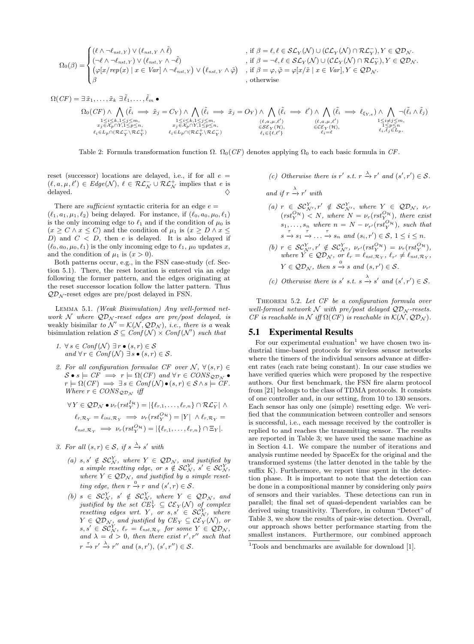$$
\Omega_0(\beta) = \begin{cases}\n(\ell \wedge \neg \ell_{nst,Y}) \vee (\ell_{nst,Y} \wedge \tilde{\ell}) & , \text{if } \beta = \ell, \ell \in \mathcal{SL}_Y(\mathcal{N}) \cup (\mathcal{CL}_Y(\mathcal{N}) \cap \mathcal{RL}_Y), Y \in \mathcal{QD}_{\mathcal{N}}. \\
(\neg \ell \wedge \neg \ell_{nst,Y}) \vee (\ell_{nst,Y} \wedge \neg \tilde{\ell}) & , \text{if } \beta = \neg \ell, \ell \in \mathcal{SL}_Y(\mathcal{N}) \cup (\mathcal{CL}_Y(\mathcal{N}) \cap \mathcal{RL}_Y), Y \in \mathcal{QD}_{\mathcal{N}}. \\
(\varphi[x/rep(x) \mid x \in \text{Var}] \wedge \neg \ell_{nst,Y}) \vee (\ell_{nst,Y} \wedge \tilde{\varphi}) & , \text{if } \beta = \varphi, \tilde{\varphi} = \varphi[x/\tilde{x} \mid x \in \text{Var}], Y \in \mathcal{QD}_{\mathcal{N}}.\n\end{cases}
$$

$$
\Omega(CF) = \exists \tilde{x}_1, \dots, \tilde{x}_k \exists \tilde{\ell}_1, \dots, \tilde{\ell}_m \bullet \newline \Omega_0(CF) \land \bigwedge_{\substack{1 \leq i \leq k, 1 \leq j \leq m, \\ x_j \in \mathcal{X}_p \cap Y, 1 \leq p \leq n, \\ x_j \in \mathcal{X}_p \cap Y, 1 \leq p \leq n, \\ \ell_i \in L_p \cap (\mathcal{R} \mathcal{L}_Y^- \setminus \mathcal{R} \mathcal{L}_Y^+)} \qquad \qquad \mathcal{X}_i(\tilde{\ell}_i \implies \tilde{x}_j = O_Y) \land \bigwedge_{\substack{(\ell, a, \mu, \ell') \\ \in \mathcal{X}_p \cap Y, 1 \leq p \leq n, \\ \ell_i \in \mathcal{X}_p \cap Y, 1 \leq p \leq n, \\ \ell_i \in \mathcal{X}_p \cap Y, 1 \leq p \leq n, \\ \ell_i \in \mathcal{X}_p \cap \mathcal{X}_p^+ \setminus \mathcal{R} \mathcal{L}_Y^-)} \qquad \qquad \mathcal{X}_j(\tilde{\ell}_i \implies \ell'_j) \land \bigwedge_{\substack{1 \leq i \leq k, 1 \leq j \leq m, \\ \in \mathcal{S}\mathcal{E}_Y(\mathcal{H}), \\ \ell_i \in \mathcal{X}_p \cap Y, 1 \leq p \leq n, \\ \ell_i \in \mathcal{X}_p \cap \mathcal{X}_p^+ \setminus \mathcal{R} \mathcal{L}_Y^-}} \qquad \qquad \mathcal{X}_j(\tilde{\ell}_i \implies \ell'_j) \land \bigwedge_{\substack{1 \leq i \neq j \leq m, \\ \ell_i \in \mathcal{X}_p \cap Y, 1 \leq p \leq n, \\ \ell_i \in \mathcal{X}_p \cap Y, 1 \leq p \leq n}} \qquad \qquad \mathcal{X}_j(\tilde{\ell}_i \implies \tilde{\ell}_j) \land \bigwedge_{\substack{1 \leq i \leq k, 1 \leq j \leq m, \\ \ell_i \in \mathcal{X}_p \cap Y, 1 \leq p \leq n}} \qquad \qquad \mathcal{X}_j(\tilde{\ell}_i \implies \tilde{\ell}_j) \land \bigwedge_{\substack{1 \leq i
$$

Table 2: Formula transformation function  $\Omega$ .  $\Omega_0(CF)$  denotes applying  $\Omega_0$  to each basic formula in CF.

reset (successor) locations are delayed, i.e., if for all  $e =$  $(\ell, a, \mu, \ell') \in \text{Edge}(\mathcal{N}), \ell \in \mathcal{RL}_{\mathcal{N}}^- \cup \mathcal{RL}_{\mathcal{N}}^+$  implies that e is delayed.  $\Diamond$ 

 $\tilde{a}$ 

There are *sufficient* syntactic criteria for an edge  $e =$  $(\ell_1, a_1, \mu_1, \ell_2)$  being delayed. For instance, if  $(\ell_0, a_0, \mu_0, \ell_1)$ is the only incoming edge to  $\ell_1$  and if the condition of  $\mu_0$  is  $(x \geq C \land x \leq C)$  and the condition of  $\mu_1$  is  $(x \geq D \land x \leq C)$ D) and  $C < D$ , then e is delayed. It is also delayed if  $(\ell_0, a_0, \mu_0, \ell_1)$  is the only incoming edge to  $\ell_1, \mu_0$  updates x, and the condition of  $\mu_1$  is  $(x > 0)$ .

Both patterns occur, e.g., in the FSN case-study (cf. Section 5.1). There, the reset location is entered via an edge following the former pattern, and the edges originating at the reset successor location follow the latter pattern. Thus  $QD<sub>N</sub>$ -reset edges are pre/post delayed in FSN.

Lemma 5.1. (Weak Bisimulation) Any well-formed network N where  $QD_N$ -reset edges are pre/post delayed, is weakly bisimilar to  $\mathcal{N}' = \mathcal{K}(\mathcal{N}, \mathcal{QD}_{\mathcal{N}})$ , *i.e.*, there is a weak bisimulation relation  $S \subseteq Conf(N) \times Conf(N')$  such that

- 1.  $\forall s \in Conf(\mathcal{N}) \exists r \bullet (s, r) \in \mathcal{S}$ and  $\forall r \in Conf(\mathcal{N}) \exists s \bullet (s, r) \in \mathcal{S}.$
- 2. For all configuration formulae CF over  $\mathcal{N}, \forall (s,r) \in$  $S \bullet s \models CF \implies r \models \Omega(CF) \text{ and } \forall r \in CONS_{\mathcal{QD}_\mathcal{N}} \bullet$  $r \models \Omega(CF) \implies \exists s \in Conf(\mathcal{N}) \bullet (s, r) \in \mathcal{S} \land s \models CF.$ Where  $r \in CONS_{QD_N}$  iff

$$
\forall Y \in QD_N \bullet \nu_r(rst_Y^{I_{\mathcal{H}}}) = |\{\ell_{r,1}, \dots, \ell_{r,n}\} \cap \mathcal{RL}_Y^-| \land
$$
  

$$
\ell_{r,\mathcal{R}_Y} = \ell_{ini,\mathcal{R}_Y} \implies \nu_r(rst_Y^{O_{\mathcal{H}}}) = |Y| \land \ell_{r,\mathcal{R}_Y} =
$$
  

$$
\ell_{nst,\mathcal{R}_Y} \implies \nu_r(rst_Y^{O_{\mathcal{H}}}) = |\{\ell_{r,1}, \dots, \ell_{r,n}\} \cap \Xi_Y|.
$$

- 3. For all  $(s, r) \in S$ , if  $s \stackrel{\lambda}{\to} s'$  with
	- (a)  $s, s' \notin \mathcal{SC}_N^Y$ , where  $Y \in \mathcal{QD}_N$ , and justified by a simple resetting edge, or  $s \notin \mathcal{SC}_\mathcal{N}^Y$ ,  $s' \in \mathcal{SC}_\mathcal{N}^Y$ , where  $Y \in QD_N$ , and justified by a simple resetting edge, then  $r \stackrel{0}{\rightarrow} r$  and  $(s', r) \in S$ .
	- (b)  $s \in \mathcal{SC}_\mathcal{N}^Y$ ,  $s' \notin \mathcal{SC}_\mathcal{N}^Y$ , where  $Y \in \mathcal{QD}_\mathcal{N}$ , and justified by the set  $CE_Y^1 \subseteq \mathcal{CE}_Y(\mathcal{N})$  of complex resetting edges wrt. Y, or  $s, s' \in \mathcal{SC}_\mathcal{N}^Y$ , where  $Y \in \mathcal{QD}_{\mathcal{N}_f}$  and justified by  $CE_Y \subseteq \mathcal{CE}_Y(\mathcal{N})$ , or  $s, s' \in \mathcal{SC}_\mathcal{N}^Y, \ \ell_r = \ell_{nst, \mathcal{R}_Y}$  for some  $Y \in \mathcal{QD}_\mathcal{N}$ , and  $\lambda = d > 0$ , then there exist r', r'' such that  $r \xrightarrow{\tau} r' \xrightarrow{\lambda} r''$  and  $(s, r'), (s', r'') \in S$ .

(c) Otherwise there is r' s.t.  $r \xrightarrow{\lambda} r'$  and  $(s', r') \in S$ .

and if 
$$
r \to r'
$$
 with  
\n(a)  $r \in \mathcal{SC}_{\mathcal{N}'}^Y$ ,  $r' \notin \mathcal{SC}_{\mathcal{N}'}^Y$ , where  $Y \in \mathcal{QD}_{\mathcal{N}}$ ,  $\nu_{r'}$   
\n $(rst_Y^{O_H}) \leq N$ , where  $N = \nu_r(rst_Y^{O_H})$ , there exist  
\ns<sub>1</sub>,...,s<sub>n</sub> where  $n = N - \nu_{r'}(rst_Y^{O_H})$ , such that  
\n $s \to s_1 \to \ldots \to s_n$  and  $(s_i, r') \in \mathcal{S}, 1 \leq i \leq n$ .  
\n(b)  $r \in \mathcal{SC}_{\mathcal{N}'}^Y$ ,  $r' \notin \mathcal{SC}_{\mathcal{N}'}^Y$ ,  $\nu_{r'}(rst_Y^{O_H}) = \nu_r(rst_Y^{O_H})$ ,  
\nwhere  $Y \in \mathcal{QD}_{\mathcal{N}}$ , or  $\ell_r = \ell_{nst, \mathcal{R}_Y}$ ,  $\ell_{r'} \neq \ell_{nst, \mathcal{R}_Y}$ ,  
\n $Y \in \mathcal{QD}_{\mathcal{N}}$ , then  $s \to s$  and  $(s, r') \in \mathcal{S}$ .

(c) Otherwise there is s' s.t.  $s \stackrel{\lambda}{\rightarrow} s'$  and  $(s', r') \in S$ .

THEOREM 5.2. Let CF be a configuration formula over well-formed network N with pre/post delayed  $QD<sub>N</sub>$ -resets. CF is reachable in N iff  $\Omega(CF)$  is reachable in  $\mathcal{K}(\mathcal{N}, \mathcal{QD}_{\mathcal{N}})$ .

#### 5.1 Experimental Results

For our experimental evaluation<sup>1</sup> we have chosen two industrial time-based protocols for wireless sensor networks where the timers of the individual sensors advance at different rates (each rate being constant). In our case studies we have verified queries which were proposed by the respective authors. Our first benchmark, the FSN fire alarm protocol from [21] belongs to the class of TDMA protocols. It consists of one controller and, in our setting, from 10 to 130 sensors. Each sensor has only one (simple) resetting edge. We verified that the communication between controller and sensors is successful, i.e., each message received by the controller is replied to and reaches the transmitting sensor. The results are reported in Table 3; we have used the same machine as in Section 4.1. We compare the number of iterations and analysis runtime needed by SpaceEx for the original and the transformed systems (the latter denoted in the table by the suffix K). Furthermore, we report time spent in the detection phase. It is important to note that the detection can be done in a compositional manner by considering only pairs of sensors and their variables. These detections can run in parallel; the final set of quasi-dependent variables can be derived using transitivity. Therefore, in column "Detect" of Table 3, we show the results of pair-wise detection. Overall, our approach shows better performance starting from the smallest instances. Furthermore, our combined approach

 $1$ Tools and benchmarks are available for download [1].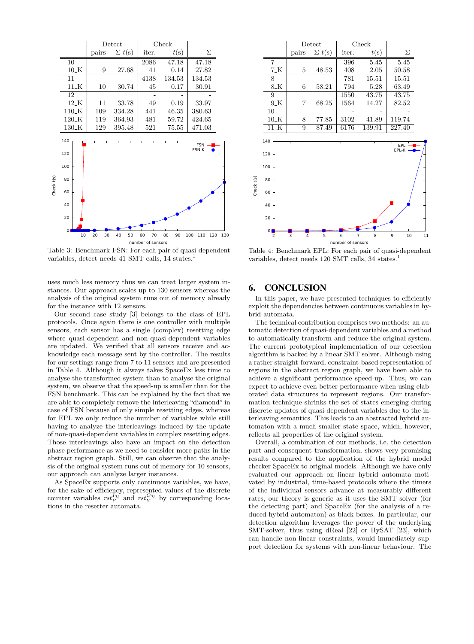

Table 3: Benchmark FSN: For each pair of quasi-dependent variables, detect needs 41 SMT calls, 14 states.<sup>1</sup>

uses much less memory thus we can treat larger system instances. Our approach scales up to 130 sensors whereas the analysis of the original system runs out of memory already for the instance with 12 sensors.

Our second case study [3] belongs to the class of EPL protocols. Once again there is one controller with multiple sensors, each sensor has a single (complex) resetting edge where quasi-dependent and non-quasi-dependent variables are updated. We verified that all sensors receive and acknowledge each message sent by the controller. The results for our settings range from 7 to 11 sensors and are presented in Table 4. Although it always takes SpaceEx less time to analyse the transformed system than to analyse the original system, we observe that the speed-up is smaller than for the FSN benchmark. This can be explained by the fact that we are able to completely remove the interleaving "diamond" in case of FSN because of only simple resetting edges, whereas for EPL we only reduce the number of variables while still having to analyze the interleavings induced by the update of non-quasi-dependent variables in complex resetting edges. Those interleavings also have an impact on the detection phase performance as we need to consider more paths in the abstract region graph. Still, we can observe that the analysis of the original system runs out of memory for 10 sensors, our approach can analyze larger instances.

As SpaceEx supports only continuous variables, we have, for the sake of efficiency, represented values of the discrete counter variables  $rst_Y^{I_H}$  and  $rst_Y^{O_H}$  by corresponding locations in the resetter automata.



Table 4: Benchmark EPL: For each pair of quasi-dependent variables, detect needs 120 SMT calls, 34 states.<sup>1</sup>

#### 6. CONCLUSION

In this paper, we have presented techniques to efficiently exploit the dependencies between continuous variables in hybrid automata.

The technical contribution comprises two methods: an automatic detection of quasi-dependent variables and a method to automatically transform and reduce the original system. The current prototypical implementation of our detection algorithm is backed by a linear SMT solver. Although using a rather straight-forward, constraint-based representation of regions in the abstract region graph, we have been able to achieve a significant performance speed-up. Thus, we can expect to achieve even better performance when using elaborated data structures to represent regions. Our transformation technique shrinks the set of states emerging during discrete updates of quasi-dependent variables due to the interleaving semantics. This leads to an abstracted hybrid automaton with a much smaller state space, which, however, reflects all properties of the original system.

Overall, a combination of our methods, i.e. the detection part and consequent transformation, shows very promising results compared to the application of the hybrid model checker SpaceEx to original models. Although we have only evaluated our approach on linear hybrid automata motivated by industrial, time-based protocols where the timers of the individual sensors advance at measurably different rates, our theory is generic as it uses the SMT solver (for the detecting part) and SpaceEx (for the analysis of a reduced hybrid automaton) as black-boxes. In particular, our detection algorithm leverages the power of the underlying SMT-solver, thus using dReal [22] or HySAT [23], which can handle non-linear constraints, would immediately support detection for systems with non-linear behaviour. The